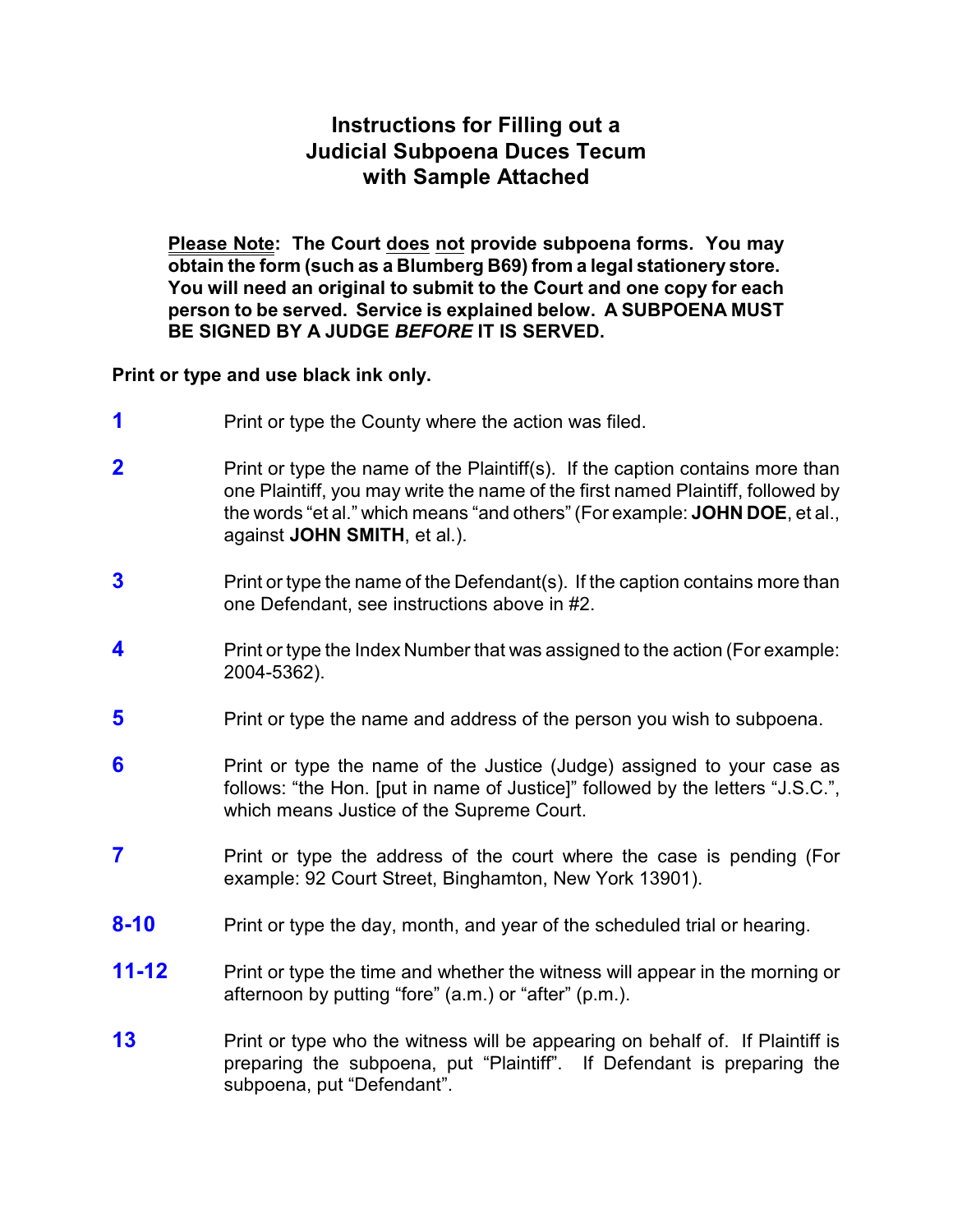## **Instructions for Filling out a Judicial Subpoena Duces Tecum with Sample Attached**

**Please Note: The Court does not provide subpoena forms. You may obtain the form (such as a Blumberg B69) from a legal stationery store. You will need an original to submit to the Court and one copy for each person to be served. Service is explained below. A SUBPOENA MUST BE SIGNED BY A JUDGE** *BEFORE* **IT IS SERVED.**

**Print or type and use black ink only.**

- **1** Print or type the County where the action was filed.
- **2** Print or type the name of the Plaintiff(s). If the caption contains more than one Plaintiff, you may write the name of the first named Plaintiff, followed by the words "et al." which means "and others" (For example: **JOHN DOE**, et al., against **JOHN SMITH**, et al.).
- **3** Print or type the name of the Defendant(s). If the caption contains more than one Defendant, see instructions above in #2.
- **4** Print or type the Index Number that was assigned to the action (For example: 2004-5362).
- **5** Print or type the name and address of the person you wish to subpoena.
- **6 Print or type the name of the Justice (Judge) assigned to your case as** follows: "the Hon. [put in name of Justice]" followed by the letters "J.S.C.", which means Justice of the Supreme Court.
- **7** Print or type the address of the court where the case is pending (For example: 92 Court Street, Binghamton, New York 13901).
- **8-10** Print or type the day, month, and year of the scheduled trial or hearing.
- **11-12** Print or type the time and whether the witness will appear in the morning or afternoon by putting "fore" (a.m.) or "after" (p.m.).
- **13** Print or type who the witness will be appearing on behalf of. If Plaintiff is preparing the subpoena, put "Plaintiff". If Defendant is preparing the subpoena, put "Defendant".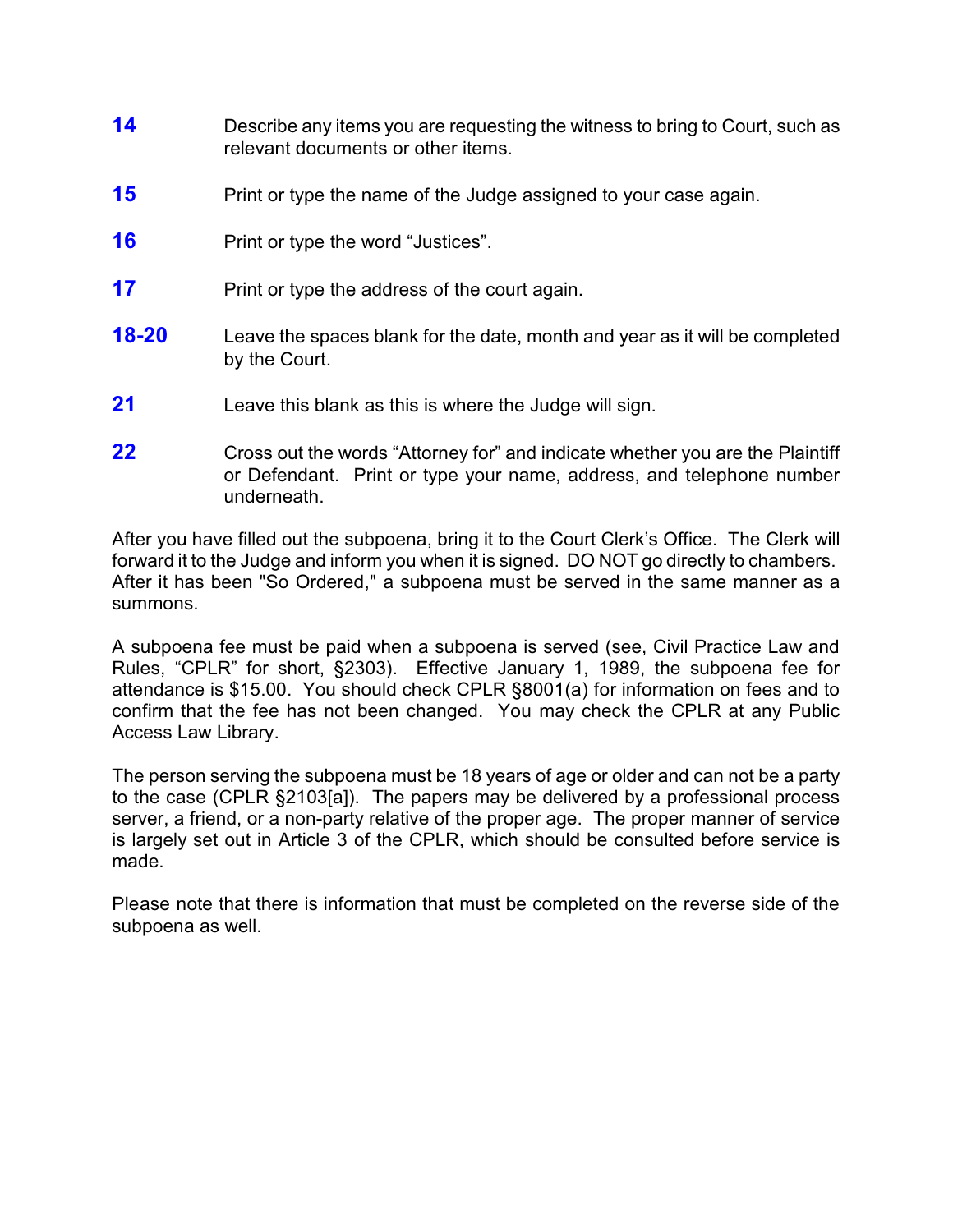- **14** Describe any items you are requesting the witness to bring to Court, such as relevant documents or other items.
- **15** Print or type the name of the Judge assigned to your case again.
- **16** Print or type the word "Justices".
- **17** Print or type the address of the court again.
- **18-20** Leave the spaces blank for the date, month and year as it will be completed by the Court.
- **21** Leave this blank as this is where the Judge will sign.
- **22** Cross out the words "Attorney for" and indicate whether you are the Plaintiff or Defendant. Print or type your name, address, and telephone number underneath.

After you have filled out the subpoena, bring it to the Court Clerk's Office. The Clerk will forward it to the Judge and inform you when it is signed. DO NOT go directly to chambers. After it has been "So Ordered," a subpoena must be served in the same manner as a summons.

A subpoena fee must be paid when a subpoena is served (see, Civil Practice Law and Rules, "CPLR" for short, §2303). Effective January 1, 1989, the subpoena fee for attendance is \$15.00. You should check CPLR §8001(a) for information on fees and to confirm that the fee has not been changed. You may check the CPLR at any Public Access Law Library.

The person serving the subpoena must be 18 years of age or older and can not be a party to the case (CPLR §2103[a]). The papers may be delivered by a professional process server, a friend, or a non-party relative of the proper age. The proper manner of service is largely set out in Article 3 of the CPLR, which should be consulted before service is made.

Please note that there is information that must be completed on the reverse side of the subpoena as well.